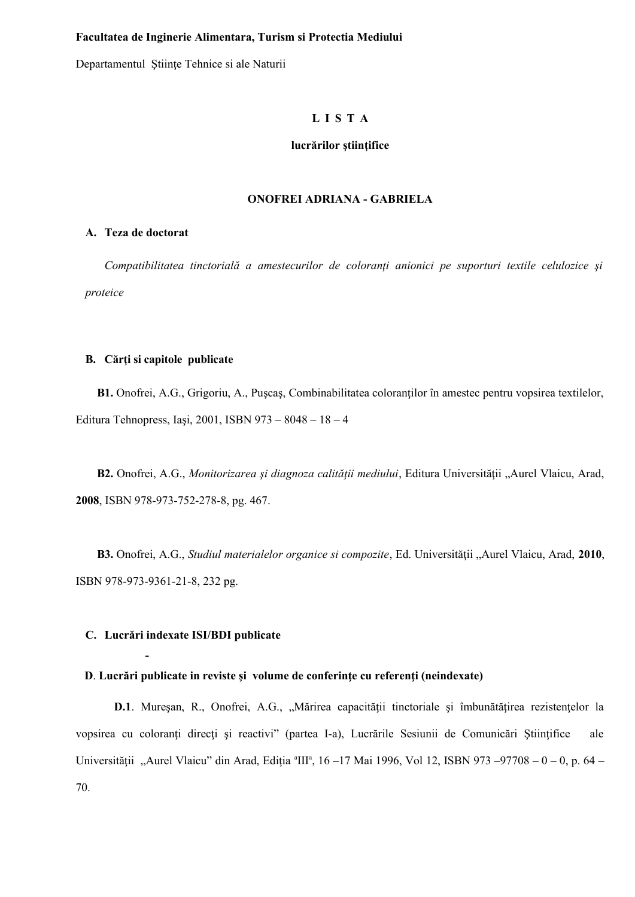### **Facultatea de Inginerie Alimentara, Turism si Protectia Mediului**

Departamentul Ştiinţe Tehnice si ale Naturii

# **L I S T A**

#### **lucrărilor ştiinţifice**

### **ONOFREI ADRIANA - GABRIELA**

#### **A. Teza de doctorat**

*Compatibilitatea tinctorială a amestecurilor de coloranţi anionici pe suporturi textile celulozice şi proteice*

# **B. Cărţi si capitole publicate**

**B1.** Onofrei, A.G., Grigoriu, A., Puşcaş, Combinabilitatea coloranţilor în amestec pentru vopsirea textilelor, Editura Tehnopress, Iaşi, 2001, ISBN 973 – 8048 – 18 – 4

B2. Onofrei, A.G., *Monitorizarea și diagnoza calității mediului*, Editura Universității "Aurel Vlaicu, Arad, **2008**, ISBN 978-973-752-278-8, pg. 467.

B3. Onofrei, A.G., *Studiul materialelor organice si compozite*, Ed. Universității "Aurel Vlaicu, Arad, 2010, ISBN 978-973-9361-21-8, 232 pg.

# **C. Lucrări indexate ISI/BDI publicate**

**-**

### **D**. **Lucrări publicate in reviste şi volume de conferinţe cu referenţi (neindexate)**

**D.1**. Mureşan, R., Onofrei, A.G., "Mărirea capacităţii tinctoriale şi îmbunătăţirea rezistenţelor la vopsirea cu coloranți direcți și reactivi" (partea I-a), Lucrările Sesiunii de Comunicări Științifice ale Universității "Aurel Vlaicu" din Arad, Ediția <sup>a</sup>III<sup>a</sup>, 16 -17 Mai 1996, Vol 12, ISBN 973 -97708 - 0 - 0, p. 64 -70.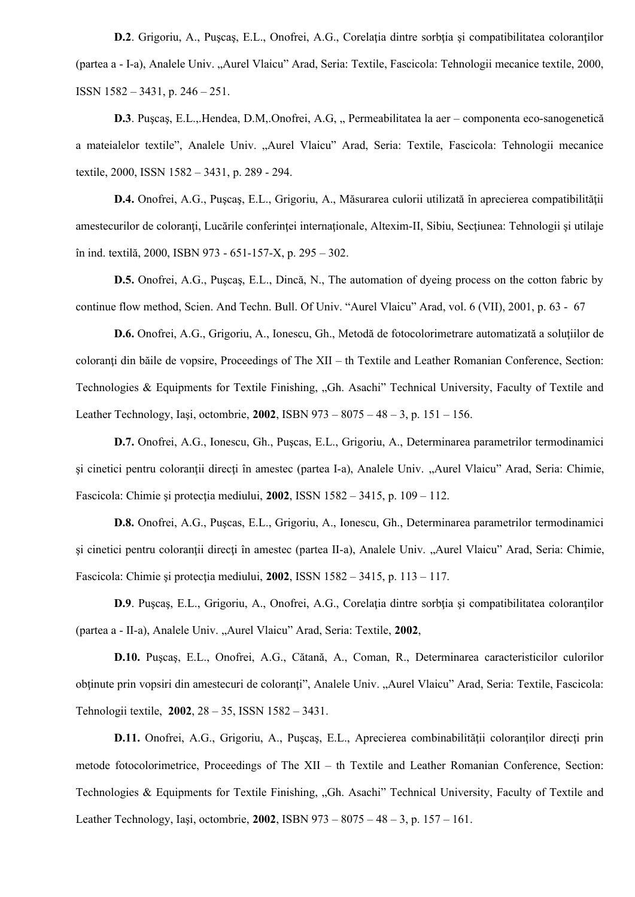**D.2**. Grigoriu, A., Puscas, E.L., Onofrei, A.G., Corelația dintre sorbția și compatibilitatea coloranților (partea a - I-a), Analele Univ. "Aurel Vlaicu" Arad, Seria: Textile, Fascicola: Tehnologii mecanice textile, 2000, ISSN 1582 – 3431, p. 246 – 251.

**D.3**. Pușcaș, E.L.,.Hendea, D.M,.Onofrei, A.G, " Permeabilitatea la aer – componenta eco-sanogenetică a mateialelor textile", Analele Univ. "Aurel Vlaicu" Arad, Seria: Textile, Fascicola: Tehnologii mecanice textile, 2000, ISSN 1582 – 3431, p. 289 - 294.

**D.4.** Onofrei, A.G., Puşcaş, E.L., Grigoriu, A., Măsurarea culorii utilizată în aprecierea compatibilităţii amestecurilor de coloranți, Lucările conferinței internaționale, Altexim-II, Sibiu, Secțiunea: Tehnologii și utilaje în ind. textilă, 2000, ISBN 973 - 651-157-X, p. 295 – 302.

**D.5.** Onofrei, A.G., Puşcaş, E.L., Dincă, N., The automation of dyeing process on the cotton fabric by continue flow method, Scien. And Techn. Bull. Of Univ. "Aurel Vlaicu" Arad, vol. 6 (VII), 2001, p. 63 - 67

**D.6.** Onofrei, A.G., Grigoriu, A., Ionescu, Gh., Metodă de fotocolorimetrare automatizată a soluţiilor de coloranti din băile de vopsire, Proceedings of The XII – th Textile and Leather Romanian Conference, Section: Technologies & Equipments for Textile Finishing, "Gh. Asachi" Technical University, Faculty of Textile and Leather Technology, Iaşi, octombrie, **2002**, ISBN 973 – 8075 – 48 – 3, p. 151 – 156.

**D.7.** Onofrei, A.G., Ionescu, Gh., Puşcas, E.L., Grigoriu, A., Determinarea parametrilor termodinamici şi cinetici pentru coloranţii direcţi în amestec (partea I-a), Analele Univ. "Aurel Vlaicu" Arad, Seria: Chimie, Fascicola: Chimie şi protecţia mediului, **2002**, ISSN 1582 – 3415, p. 109 – 112.

**D.8.** Onofrei, A.G., Puşcas, E.L., Grigoriu, A., Ionescu, Gh., Determinarea parametrilor termodinamici si cinetici pentru coloranții direcți în amestec (partea II-a), Analele Univ. "Aurel Vlaicu" Arad, Seria: Chimie, Fascicola: Chimie şi protecţia mediului, **2002**, ISSN 1582 – 3415, p. 113 – 117.

**D.9**. Puşcaş, E.L., Grigoriu, A., Onofrei, A.G., Corelația dintre sorbția și compatibilitatea coloranților (partea a - II-a), Analele Univ. "Aurel Vlaicu" Arad, Seria: Textile, **2002**,

**D.10.** Puşcaş, E.L., Onofrei, A.G., Cătană, A., Coman, R., Determinarea caracteristicilor culorilor obținute prin vopsiri din amestecuri de coloranți", Analele Univ. "Aurel Vlaicu" Arad, Seria: Textile, Fascicola: Tehnologii textile, **2002**, 28 – 35, ISSN 1582 – 3431.

**D.11.** Onofrei, A.G., Grigoriu, A., Puşcaş, E.L., Aprecierea combinabilităţii coloranţilor direcţi prin metode fotocolorimetrice, Proceedings of The XII – th Textile and Leather Romanian Conference, Section: Technologies & Equipments for Textile Finishing, "Gh. Asachi" Technical University, Faculty of Textile and Leather Technology, Iaşi, octombrie, **2002**, ISBN 973 – 8075 – 48 – 3, p. 157 – 161.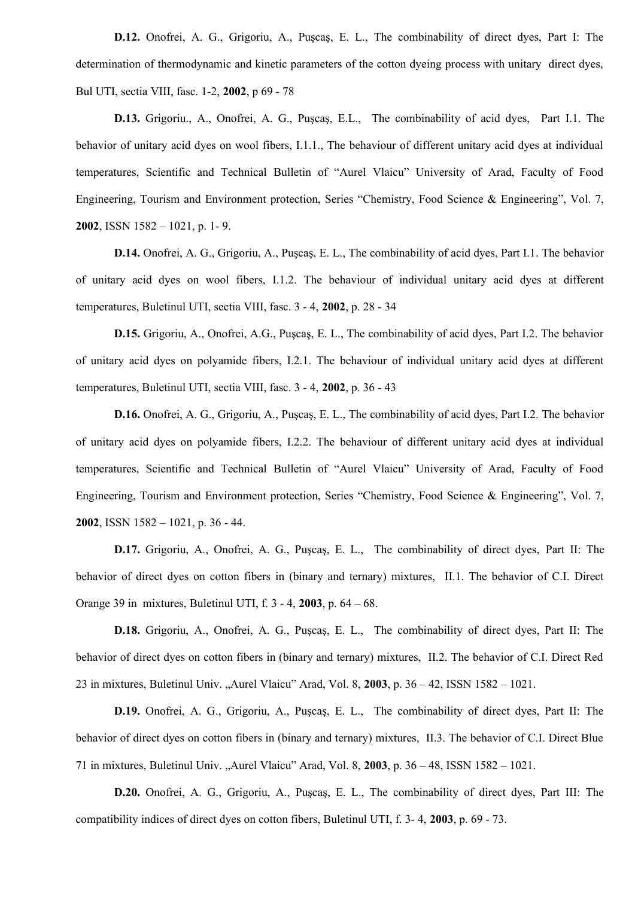**D.12.** Onofrei, A. G., Grigoriu, A., Puşcaş, E. L., The combinability of direct dyes, Part I: The determination of thermodynamic and kinetic parameters of the cotton dyeing process with unitary direct dyes, Bul UTI, sectia VIII, fasc. 1-2, **2002**, p 69 - 78

**D.13.** Grigoriu., A., Onofrei, A. G., Puşcaş, E.L., The combinability of acid dyes, Part I.1. The behavior of unitary acid dyes on wool fibers, I.1.1., The behaviour of different unitary acid dyes at individual temperatures, Scientific and Technical Bulletin of "Aurel Vlaicu" University of Arad, Faculty of Food Engineering, Tourism and Environment protection, Series "Chemistry, Food Science & Engineering", Vol. 7, **2002**, ISSN 1582 – 1021, p. 1- 9.

**D.14.** Onofrei, A. G., Grigoriu, A., Puşcaş, E. L., The combinability of acid dyes, Part I.1. The behavior of unitary acid dyes on wool fibers, I.1.2. The behaviour of individual unitary acid dyes at different temperatures, Buletinul UTI, sectia VIII, fasc. 3 - 4, **2002**, p. 28 - 34

**D.15.** Grigoriu, A., Onofrei, A.G., Puşcaş, E. L., The combinability of acid dyes, Part I.2. The behavior of unitary acid dyes on polyamide fibers, I.2.1. The behaviour of individual unitary acid dyes at different temperatures, Buletinul UTI, sectia VIII, fasc. 3 - 4, **2002**, p. 36 - 43

**D.16.** Onofrei, A. G., Grigoriu, A., Puşcaş, E. L., The combinability of acid dyes, Part I.2. The behavior of unitary acid dyes on polyamide fibers, I.2.2. The behaviour of different unitary acid dyes at individual temperatures, Scientific and Technical Bulletin of "Aurel Vlaicu" University of Arad, Faculty of Food Engineering, Tourism and Environment protection, Series "Chemistry, Food Science & Engineering", Vol. 7, **2002**, ISSN 1582 – 1021, p. 36 - 44.

**D.17.** Grigoriu, A., Onofrei, A. G., Puşcaş, E. L., The combinability of direct dyes, Part II: The behavior of direct dyes on cotton fibers in (binary and ternary) mixtures, II.1. The behavior of C.I. Direct Orange 39 in mixtures, Buletinul UTI, f. 3 - 4, **2003**, p. 64 – 68.

**D.18.** Grigoriu, A., Onofrei, A. G., Puşcaş, E. L., The combinability of direct dyes, Part II: The behavior of direct dyes on cotton fibers in (binary and ternary) mixtures, II.2. The behavior of C.I. Direct Red 23 in mixtures, Buletinul Univ. "Aurel Vlaicu" Arad, Vol. 8, **2003**, p. 36 – 42, ISSN 1582 – 1021.

**D.19.** Onofrei, A. G., Grigoriu, A., Puşcaş, E. L., The combinability of direct dyes, Part II: The behavior of direct dyes on cotton fibers in (binary and ternary) mixtures, II.3. The behavior of C.I. Direct Blue 71 in mixtures, Buletinul Univ. "Aurel Vlaicu" Arad, Vol. 8, **2003**, p. 36 – 48, ISSN 1582 – 1021.

**D.20.** Onofrei, A. G., Grigoriu, A., Puşcaş, E. L., The combinability of direct dyes, Part III: The compatibility indices of direct dyes on cotton fibers, Buletinul UTI, f. 3- 4, **2003**, p. 69 - 73.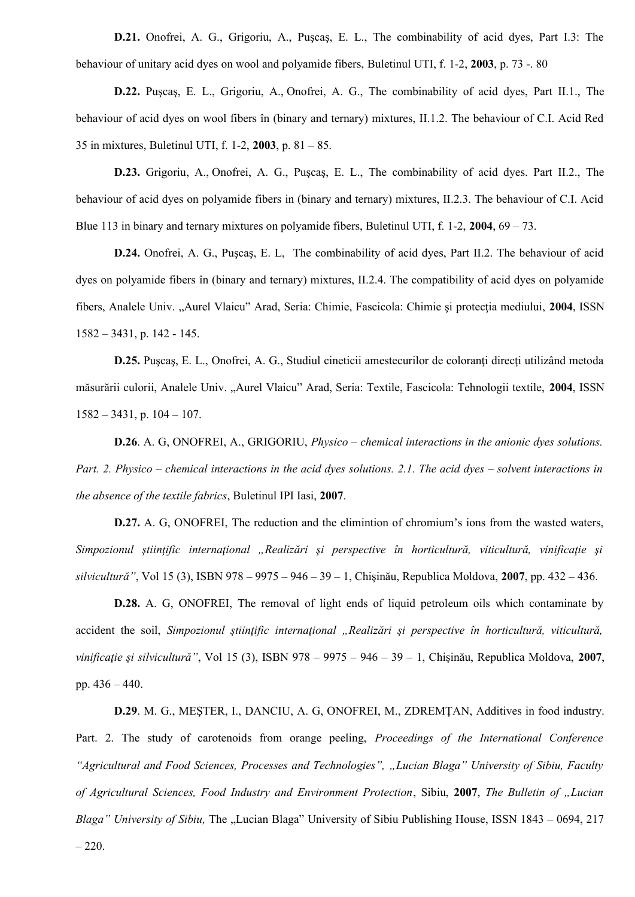**D.21.** Onofrei, A. G., Grigoriu, A., Puşcaş, E. L., The combinability of acid dyes, Part I.3: The behaviour of unitary acid dyes on wool and polyamide fibers, Buletinul UTI, f. 1-2, **2003**, p. 73 -. 80

**D.22.** Puşcaş, E. L., Grigoriu, A., Onofrei, A. G., The combinability of acid dyes, Part II.1., The behaviour of acid dyes on wool fibers în (binary and ternary) mixtures, II.1.2. The behaviour of C.I. Acid Red 35 in mixtures, Buletinul UTI, f. 1-2, **2003**, p. 81 – 85.

**D.23.** Grigoriu, A., Onofrei, A. G., Puşcaş, E. L., The combinability of acid dyes. Part II.2., The behaviour of acid dyes on polyamide fibers in (binary and ternary) mixtures, II.2.3. The behaviour of C.I. Acid Blue 113 in binary and ternary mixtures on polyamide fibers, Buletinul UTI, f. 1-2, **2004**, 69 – 73.

**D.24.** Onofrei, A. G., Puşcaş, E. L, The combinability of acid dyes, Part II.2. The behaviour of acid dyes on polyamide fibers în (binary and ternary) mixtures, II.2.4. The compatibility of acid dyes on polyamide fibers, Analele Univ. "Aurel Vlaicu" Arad, Seria: Chimie, Fascicola: Chimie și protecția mediului, 2004, ISSN 1582 – 3431, p. 142 - 145.

**D.25.** Puscas, E. L., Onofrei, A. G., Studiul cineticii amestecurilor de coloranți direcți utilizând metoda măsurării culorii, Analele Univ. "Aurel Vlaicu" Arad, Seria: Textile, Fascicola: Tehnologii textile, **2004**, ISSN  $1582 - 3431$ , p.  $104 - 107$ .

**D.26**. A. G, ONOFREI, A., GRIGORIU, *Physico – chemical interactions in the anionic dyes solutions. Part. 2. Physico – chemical interactions in the acid dyes solutions. 2.1. The acid dyes – solvent interactions in the absence of the textile fabrics*, Buletinul IPI Iasi, **2007**.

**D.27.** A. G, ONOFREI, The reduction and the elimintion of chromium's ions from the wasted waters, *Simpozionul ştiinţific internaţional "Realizări şi perspective în horticultură, viticultură, vinificaţie şi silvicultură"*, Vol 15 (3), ISBN 978 – 9975 – 946 – 39 – 1, Chişinău, Republica Moldova, **2007**, pp. 432 – 436.

**D.28.** A. G, ONOFREI, The removal of light ends of liquid petroleum oils which contaminate by accident the soil, *Simpozionul ştiinţific internaţional "Realizări şi perspective în horticultură, viticultură, vinificaţie şi silvicultură"*, Vol 15 (3), ISBN 978 – 9975 – 946 – 39 – 1, Chişinău, Republica Moldova, **2007**, pp. 436 – 440.

**D.29**. M. G., MEŞTER, I., DANCIU, A. G, ONOFREI, M., ZDREMŢAN, Additives in food industry. Part. 2. The study of carotenoids from orange peeling, *Proceedings of the International Conference "Agricultural and Food Sciences, Processes and Technologies", "Lucian Blaga" University of Sibiu, Faculty of Agricultural Sciences, Food Industry and Environment Protection*, Sibiu, **2007**, *The Bulletin of "Lucian Blaga" University of Sibiu, The "Lucian Blaga" University of Sibiu Publishing House, ISSN 1843 – 0694, 217* – 220.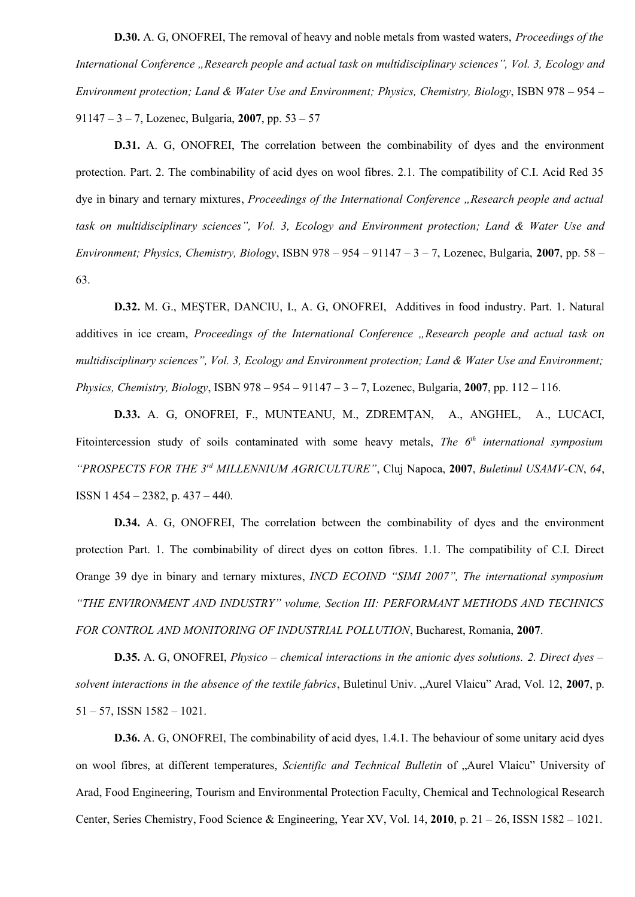**D.30.** A. G, ONOFREI, The removal of heavy and noble metals from wasted waters, *Proceedings of the International Conference "Research people and actual task on multidisciplinary sciences", Vol. 3, Ecology and Environment protection; Land & Water Use and Environment; Physics, Chemistry, Biology*, ISBN 978 – 954 – 91147 – 3 – 7, Lozenec, Bulgaria, **2007**, pp. 53 – 57

**D.31.** A. G, ONOFREI, The correlation between the combinability of dyes and the environment protection. Part. 2. The combinability of acid dyes on wool fibres. 2.1. The compatibility of C.I. Acid Red 35 dye in binary and ternary mixtures, *Proceedings of the International Conference "Research people and actual task on multidisciplinary sciences", Vol. 3, Ecology and Environment protection; Land & Water Use and Environment; Physics, Chemistry, Biology*, ISBN 978 – 954 – 91147 – 3 – 7, Lozenec, Bulgaria, **2007**, pp. 58 – 63.

**D.32.** M. G., MEŞTER, DANCIU, I., A. G, ONOFREI, Additives in food industry. Part. 1. Natural additives in ice cream, *Proceedings of the International Conference "Research people and actual task on multidisciplinary sciences", Vol. 3, Ecology and Environment protection; Land & Water Use and Environment; Physics, Chemistry, Biology*, ISBN 978 – 954 – 91147 – 3 – 7, Lozenec, Bulgaria, **2007**, pp. 112 – 116.

**D.33.** A. G, ONOFREI, F., MUNTEANU, M., ZDREMŢAN, A., ANGHEL, A., LUCACI, Fitointercession study of soils contaminated with some heavy metals, *The 6th international symposium "PROSPECTS FOR THE 3rd MILLENNIUM AGRICULTURE"*, Cluj Napoca, **2007**, *Buletinul USAMV-CN*, *64*, ISSN 1 454 – 2382, p. 437 – 440.

**D.34.** A. G, ONOFREI, The correlation between the combinability of dyes and the environment protection Part. 1. The combinability of direct dyes on cotton fibres. 1.1. The compatibility of C.I. Direct Orange 39 dye in binary and ternary mixtures, *INCD ECOIND "SIMI 2007", The international symposium "THE ENVIRONMENT AND INDUSTRY" volume, Section III: PERFORMANT METHODS AND TECHNICS FOR CONTROL AND MONITORING OF INDUSTRIAL POLLUTION*, Bucharest, Romania, **2007**.

**D.35.** A. G, ONOFREI, *Physico – chemical interactions in the anionic dyes solutions. 2. Direct dyes – solvent interactions in the absence of the textile fabrics*, Buletinul Univ. "Aurel Vlaicu" Arad, Vol. 12, 2007, p. 51 – 57, ISSN 1582 – 1021.

**D.36.** A. G, ONOFREI, The combinability of acid dyes, 1.4.1. The behaviour of some unitary acid dyes on wool fibres, at different temperatures, *Scientific and Technical Bulletin* of "Aurel Vlaicu" University of Arad, Food Engineering, Tourism and Environmental Protection Faculty, Chemical and Technological Research Center, Series Chemistry, Food Science & Engineering, Year XV, Vol. 14, **2010**, p. 21 – 26, ISSN 1582 – 1021.